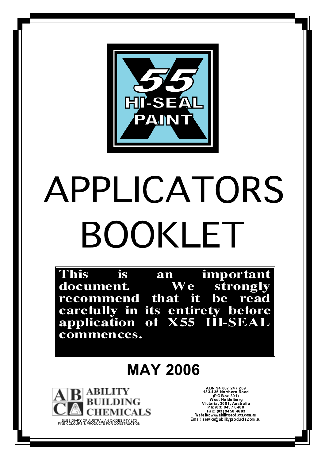

# APPLICATORS BOOKLET

This is important an We document. strongly recommend that it read be carefully in its entirety before<br>application of X55 HI-SEAL commences.

## **MAY 2006**



ABN 94 007 247 289<br>133-135 Northern Road<br>(POBox 391)<br>West Heidelberg<br>Victoria, 3081, Australia<br>Ph: (03) 9457 6488<br>Fax: (03) 9458 4683 Email: service@abilityproducts.com .au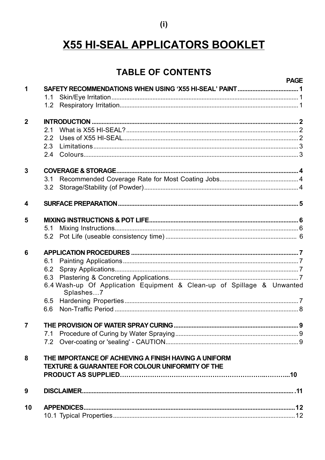### $(i)$

## X55 HI-SEAL APPLICATORS BOOKLET

## **TABLE OF CONTENTS**

|                  |                                                                                     | <b>PAGE</b> |
|------------------|-------------------------------------------------------------------------------------|-------------|
| 1                | SAFETY RECOMMENDATIONS WHEN USING 'X55 HI-SEAL' PAINT 1                             |             |
|                  | 1.1                                                                                 |             |
|                  | 1.2 <sub>2</sub>                                                                    |             |
| $\mathbf{2}$     |                                                                                     |             |
|                  | 21                                                                                  |             |
|                  | 2.2                                                                                 |             |
|                  | 2.3                                                                                 |             |
|                  | 2.4                                                                                 |             |
| 3                |                                                                                     |             |
|                  | 3.1                                                                                 |             |
|                  | 3.2                                                                                 |             |
| $\boldsymbol{4}$ |                                                                                     |             |
| 5                |                                                                                     |             |
|                  | 5.1                                                                                 |             |
|                  | 5.2                                                                                 |             |
|                  |                                                                                     |             |
| 6                |                                                                                     |             |
|                  | 6.1                                                                                 |             |
|                  | 6.2                                                                                 |             |
|                  | 6.3                                                                                 |             |
|                  | 6.4 Wash-up Of Application Equipment & Clean-up of Spillage & Unwanted<br>Splashes7 |             |
|                  | 6.5                                                                                 |             |
|                  | 6.6                                                                                 |             |
| $\overline{7}$   |                                                                                     |             |
|                  | 7.1                                                                                 |             |
|                  | 7.2                                                                                 |             |
| 8                | THE IMPORTANCE OF ACHIEVING A FINISH HAVING A UNIFORM                               |             |
|                  | <b>TEXTURE &amp; GUARANTEE FOR COLOUR UNIFORMITY OF THE</b>                         |             |
|                  |                                                                                     |             |
| 9                |                                                                                     |             |
| 10               |                                                                                     |             |
|                  |                                                                                     |             |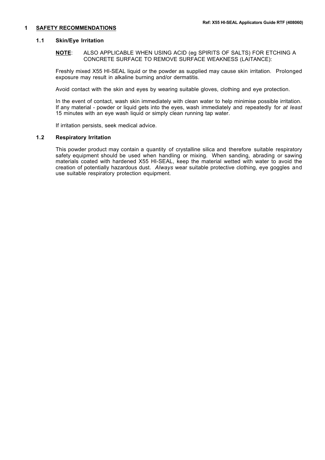#### **1 SAFETY RECOMMENDATIONS**

#### **1.1 Skin/Eye Irritation**

**NOTE**: ALSO APPLICABLE WHEN USING ACID (eg SPIRITS OF SALTS) FOR ETCHING A CONCRETE SURFACE TO REMOVE SURFACE WEAKNESS (LAITANCE):

Freshly mixed X55 HI-SEAL liquid or the powder as supplied may cause skin irritation. Prolonged exposure may result in alkaline burning and/or dermatitis.

Avoid contact with the skin and eyes by wearing suitable gloves, clothing and eye protection.

In the event of contact, wash skin immediately with clean water to help minimise possible irritation. If any material - powder or liquid gets into the eyes, wash immediately and repeatedly for *at least* 15 minutes with an eve wash liquid or simply clean running tap water.

If irritation persists, seek medical advice.

#### **1.2 Respiratory Irritation**

This powder product may contain a quantity of crystalline silica and therefore suitable respiratory safety equipment should be used when handling or mixing. When sanding, abrading or sawing materials coated with hardened X55 HI-SEAL, keep the material wetted with water to avoid the creation of potentially hazardous dust. *Always* wear suitable protective clothing, eye goggles and use suitable respiratory protection equipment.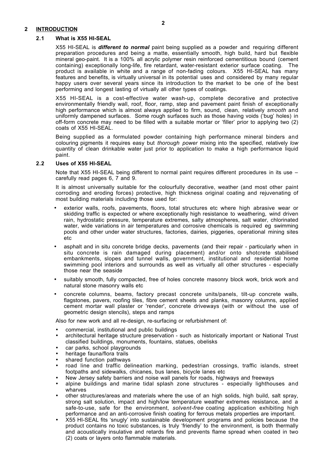#### **2 INTRODUCTION**

#### **2.1 What is X55 HI-SEAL**

X55 HI-SEAL is *different to normal* paint being supplied as a powder and requiring different preparation procedures and being a matte, essentially smooth, high build, hard but flexible mineral geo-paint. It is a 100% all acrylic polymer resin reinforced cementitious bound (cement containing) exceptionally long-life, fire retardant, water-resistant exterior surface coating. The product is available in white and a range of non-fading colours. X55 HI-SEAL has many features and benefits, is virtually universal in its potential uses and considered by many regular happy users over several years since its introduction to the market to be one of the best performing and longest lasting of virtually all other types of coatings.

X55 HI-SEAL is a cost-effective water wash-up, complete decorative and protective environmentally friendly wall, roof, floor, ramp, step and pavement paint finish of exceptionally high performance which is almost always applied to firm, sound, clean, relatively *smooth* and uniformly dampened surfaces. Some rough surfaces such as those having voids ('bug' holes) in off-form concrete may need to be filled with a suitable mortar or 'filler' prior to applying two (2) coats of X55 HI-SEAL.

Being supplied as a formulated powder containing high performance mineral binders and colouring pigments it requires easy but *thorough power* mixing into the specified, relatively *low* quantity of clean drinkable water just prior to application to make a high performance liquid paint.

#### **2.2 Uses of X55 HI-SEAL**

Note that X55 HI-SEAL being different to normal paint requires different procedures in its use – carefully read pages 6, 7 and 9.

It is almost universally suitable for the colourfully decorative, weather (and most other paint corroding and eroding forces) protective, high thickness original coating and rejuvenating of most building materials including those used for:

- exterior walls, roofs, pavements, floors, total structures etc where high abrasive wear or skidding traffic is expected or where exceptionally high resistance to weathering, wind driven rain, hydrostatic pressure, temperature extremes, salty atmospheres, salt water, chlorinated water, wide variations in air temperatures and corrosive chemicals is required eg swimming pools and other under water structures, factories, dairies, piggeries, operational mining sites etc
- asphalt and in situ concrete bridge decks, pavements (and their repair particularly when in situ concrete is rain damaged during placement) and/or onto shotcrete stabilised embankments, slopes and tunnel walls, government, institutional and residential home swimming pool interiors and surrounds as well as virtually all other structures - especially those near the seaside
- suitably smooth, fully compacted, free of holes concrete masonry block work, brick work and natural stone masonry walls etc
- concrete columns, beams, factory precast concrete units/panels, tilt-up concrete walls, flagstones, pavers, roofing tiles, fibre cement sheets and planks, masonry columns, applied cement mortar wall plaster or 'render', concrete driveways (with or without the use of geometric design stencils), steps and ramps

Also for new work and all re-design, re-surfacing or refurbishment of:

- commercial, institutional and public buildings
- architectural heritage structure preservation such as historically important or National Trust classified buildings, monuments, fountains, statues, obelisks
- car parks, school playgrounds
- heritage fauna/flora trails
- shared function pathways
- road line and traffic delineation marking, pedestrian crossings, traffic islands, street footpaths and sidewalks, chicanes, bus lanes, bicycle lanes etc
- New Jersey safety barriers and noise wall panels for roads, highways and freeways
- alpine buildings and marine tidal splash zone structures especially lighthouses and wharves
- other structures/areas and materials where the use of an high solids, high build, salt spray, strong salt solution, impact and high/low temperature weather extremes resistance, and a safe-to-use, safe for the environment, *solvent-free* coating application exhibiting high performance and an anti-corrosive finish coating for ferrous metals properties are important.
- X55 HI-SEAL fits 'snugly' into sustainable development programs and policies because the product contains no toxic substances, is truly 'friendly' to the environment, is both thermally and acoustically insulative and retards fire and prevents flame spread when coated in two (2) coats or layers onto flammable materials.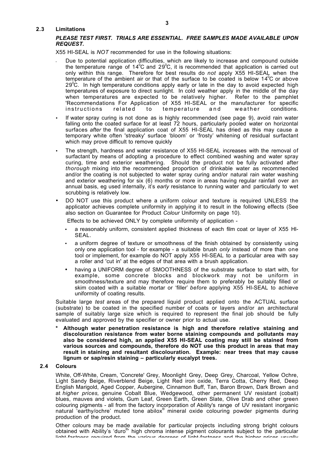#### **2.3 Limitations**

#### *PLEASE TEST FIRST. TRIALS ARE ESSENTIAL. FREE SAMPLES MADE AVAILABLE UPON REQUEST.*

X55 HI-SEAL is *NOT* recommended for use in the following situations:

- Due to potential application difficulties, which are likely to increase and compound outside the temperature range of 14<sup>°</sup>C and 29<sup>°</sup>C, it is recommended that application is carried out only within this range. Therefore for best results do *not* apply X55 HI-SEAL when the temperature of the ambient air or that of the surface to be coated is below 14 $\mathrm{^0C}$  or above 29 $\rm ^{o}C$ . In high temperature conditions apply early or late in the day to avoid expected high temperatures of exposure to direct sunlight. In cold weather apply in the middle of the day when temperatures are expected to be relatively higher. Refer to the pamphlet 'Recommendations For Application of X55 HI-SEAL or the manufacturer for specific instructions related to temperature and weather conditions.
- If water spray curing is not done as is highly recommended (see page 9), avoid rain water falling onto the coated surface for at least 72 hours, particularly pooled water on horizontal surfaces *after* the final application coat of X55 HI-SEAL has dried as this may cause a temporary white often 'streaky' surface 'bloom' or 'frosty' whitening of residual surfactant which may prove difficult to remove quickly
- The strength, hardness and water resistance of X55 HI-SEAL increases with the removal of surfactant by means of adopting a procedure to effect combined washing and water spray curing, time and exterior weathering. Should the product not be fully activated after *thorough* mixing into the recommended proportion of drinkable water as recommended and/or the coating is not subjected to water spray curing and/or natural rain water washing and exterior weathering for six (6) months or more in areas having regular rainfall over an annual basis, eg used internally, it's *early* resistance to running water and particularly to wet scrubbing is relatively low.
- DO NOT use this product where a uniform colour and texture is required UNLESS the applicator achieves complete uniformity in applying it to result in the following effects (See also section on Guarantee for Product *Colour* Uniformity on page 10).

Effects to be achieved ONLY by complete uniformity of application -

- a reasonably uniform, consistent applied thickness of each film coat or layer of X55 HI-SEAL.
- a uniform degree of texture or smoothness of the finish obtained by consistently using only one application tool - for example - a suitable brush *only* instead of more than one tool or implement, for example do NOT apply X55 HI-SEAL to a particular area with say a roller and 'cut in' at the edges of that area with a brush application.
- having a UNIFORM degree of SMOOTHNESS of the substrate surface to start with, for example, some concrete blocks and blockwork may not be uniform in smoothness/texture and may therefore require them to preferably be suitably filled or skim coated with a suitable mortar or 'filler' *before* applying X55 HI-SEAL to achieve uniformity of coating results.

Suitable large *test* areas of the prepared liquid product applied onto the ACTUAL surface (substrate) to be coated in the specified number of coats or layers and/or an architectural sample of suitably large size which is required to represent the final job should be fully evaluated and approved by the specifier or owner prior to actual use.

**\* Although water penetration resistance is high and therefore relative staining and discolouration resistance from water borne staining compounds and pollutants may also be considered high, an applied X55 HI-SEAL coating may still be stained from various sources and compounds, therefore do NOT use this product in areas that may result in staining and resultant discolouration. Example: near trees that may cause lignum or sap/resin staining – particularly eucalypt trees.**

#### **2.4 Colours**

White, Off-White, Cream, 'Concrete' Grey, Moonlight Grey, Deep Grey, Charcoal, Yellow Ochre, Light Sandy Beige, Riverblend Beige, Light Red iron oxide, Terra Cotta, Cherry Red, Deep English Marigold, Aged Copper, Aubergine, Cinnamon Buff, Tan, Baron Brown, Dark Brown and at *higher prices,* genuine Cobalt Blue, Wedgewood, other permanent UV resistant (cobalt) blues, mauves and violets, Gum Leaf, Green Earth, Green Slate, Olive Drab and other green colouring pigments - all from the factory incorporation of Ability's range of UV resistant inorganic natural 'earthy/ochre' muted tone abilox® mineral oxide colouring powder pigments during production of the product.

Other colours may be made available for particular projects including strong bright colours obtained with Ability's 'duro<sup>®</sup> high chroma intense pigment colourants subject to the particular light-factness required from the various degrees of light-fastness and the higher prices usually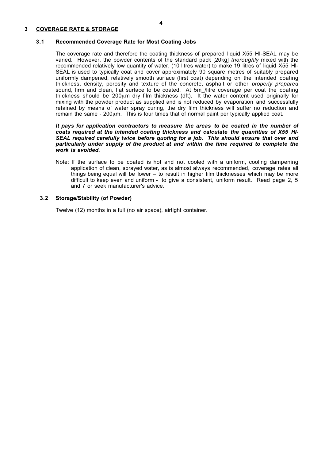#### **3 COVERAGE RATE & STORAGE**

#### **3.1 Recommended Coverage Rate for Most Coating Jobs**

The coverage rate and therefore the coating thickness of prepared liquid X55 HI-SEAL may be varied. However, the powder contents of the standard pack [20kg] *thoroughly* mixed with the recommended relatively low quantity of water, (10 litres water) to make 19 litres of liquid X55 HI-SEAL is used to typically coat and cover approximately 90 square metres of suitably prepared uniformly dampened, relatively smooth surface (first coat) depending on the intended coating thickness, density, porosity and texture of the concrete, asphalt or other *properly prepared* sound, firm and clean, flat surface to be coated. At 5m /litre coverage per coat the coating thickness should be  $200\mu$ m dry film thickness (dft). It the water content used originally for mixing with the powder product as supplied and is not reduced by evaporation and successfully retained by means of water spray curing, the dry film thickness will suffer no reduction and remain the same -  $200 \mu m$ . This is four times that of normal paint per typically applied coat.

#### *It pays for application contractors to measure the areas to be coated in the number of coats required at the intended coating thickness and calculate the quantities of X55 HI-SEAL required carefully twice before quoting for a job. This should ensure that over and particularly under supply of the product at and within the time required to complete the work is avoided.*

Note: If the surface to be coated is hot and not cooled with a uniform, cooling dampening application of clean, sprayed water, as is almost always recommended, coverage rates all things being equal will be lower – to result in higher film thicknesses which may be more difficult to keep even and uniform - to give a consistent, uniform result. Read page 2, 5 and 7 or seek manufacturer's advice.

#### **3.2 Storage/Stability (of Powder)**

Twelve (12) months in a full (no air space), airtight container.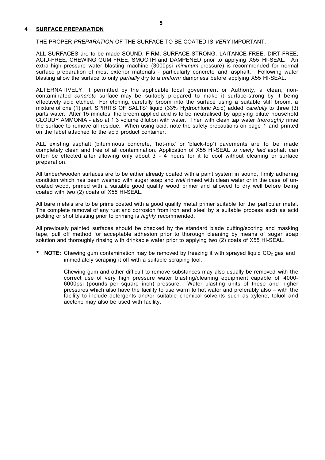#### **4 SURFACE PREPARATION**

#### THE PROPER *PREPARATION* OF THE SURFACE TO BE COATED IS *VERY* IMPORTANT.

ALL SURFACES are to be made SOUND, FIRM, SURFACE-STRONG, LAITANCE-FREE, DIRT-FREE, ACID-FREE, CHEWING GUM FREE, SMOOTH and DAMPENED prior to applying X55 HI-SEAL. An extra high pressure water blasting machine (3000psi *minimum* pressure) is recommended for normal surface preparation of most exterior materials - particularly concrete and asphalt. Following water blasting allow the surface to only *partially* dry to a *uniform* dampness before applying X55 HI-SEAL.

ALTERNATIVELY, if permitted by the applicable local government or Authority, a clean, noncontaminated *concrete* surface may be suitably prepared to make it surface-strong by it being effectively acid etched. For etching, carefully broom into the surface using a suitable stiff broom, a mixture of one (1) part 'SPIRITS OF SALTS' liquid (33% Hydrochloric Acid) added *carefully* to three (3) parts water. After 15 minutes, the broom applied acid is to be neutralised by applying dilute household CLOUDY AMMONIA - also at 1:3 volume dilution with water. Then with clean tap water *thoroughly* rinse the surface to remove all residue. When using acid, note the safety precautions on page 1 and printed on the label attached to the acid product container.

ALL existing asphalt (bituminous concrete, 'hot-mix' or 'black-top') pavements are to be made completely clean and free of all contamination. Application of X55 HI-SEAL to *newly laid* asphalt can often be effected after allowing only about  $3 - 4$  hours for it to cool without cleaning or surface preparation.

All timber/wooden surfaces are to be either already coated with a paint system in sound, firmly adhering condition which has been washed with sugar soap and *well* rinsed with clean water or in the case of uncoated wood, primed with a suitable good quality wood primer and allowed to dry well before being coated with two (2) coats of X55 HI-SEAL.

All bare metals are to be prime coated with a good quality metal primer suitable for the particular metal. The complete removal of any rust and corrosion from iron and steel by a suitable process such as acid pickling or shot blasting prior to priming is *highly* recommended.

All previously painted surfaces should be checked by the standard blade cutting/scoring and masking tape, pull off method for acceptable adhesion prior to thorough cleaning by means of sugar soap solution and thoroughly rinsing with drinkable water prior to applying two (2) coats of X55 HI-SEAL.

\* **NOTE:** Chewing gum contamination may be removed by freezing it with sprayed liquid CO<sub>2</sub> gas and immediately scraping it off with a suitable scraping tool.

> Chewing gum and other difficult to remove substances may also usually be removed with the correct use of very high pressure water blasting/cleaning equipment capable of 4000- 6000psi (pounds per square inch) pressure. Water blasting units of these and higher pressures which also have the facility to use warm to hot water and preferably also – with the facility to include detergents and/or suitable chemical solvents such as xylene, toluol and acetone may also be used with facility.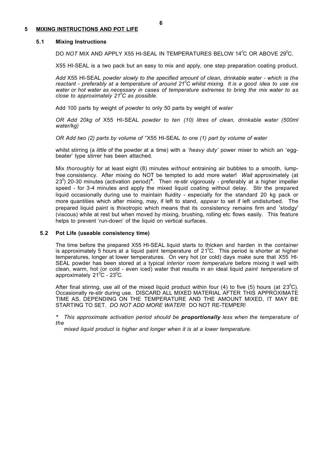#### **5 MIXING INSTRUCTIONS AND POT LIFE**

#### **5.1 Mixing Instructions**

DO *NOT* MIX AND APPLY X55 HI-SEAL IN TEMPERATURES BELOW 14<sup>0</sup>C OR ABOVE 29<sup>0</sup>C.

X55 HI-SEAL is a two pack but an easy to mix and apply, one step preparation coating product.

*Add* X55 HI-SEAL *powder slowly to the specified amount of clean, drinkable water - which is the reactant - preferably at a temperature of around 21<sup>0</sup> C whilst mixing. It is a good idea to use ice water or hot water as necessary in cases of temperature extremes to bring the mix water to as close to approximately 21<sup>0</sup> C as possible.*

Add 100 parts by weight of *powder* to only 50 parts by weight of *water*

*OR Add 20kg of* X55 HI-SEAL *powder to ten (10) litres of clean, drinkable water (500ml water/kg)*

*OR Add two (2) parts by volume of '*'X55 HI-SEAL *to one (1) part by volume of water*

whilst stirring (a *little* of the powder at a time) with a *'heavy duty'* power mixer to which an 'eggbeater' type stirrer has been attached.

Mix *thoroughly* for at least eight (8) minutes *without* entraining air bubbles to a smooth, lumpfree consistency. After mixing do NOT be tempted to add more water! *Wait* approximately (at 23<sup>0</sup> ) 20-30 minutes (activation period)**\***. Then re-stir vigorously - preferably at a higher impeller speed - for 3-4 minutes and apply the mixed liquid coating without delay. Stir the prepared liquid occasionally during use to maintain fluidity - especially for the standard 20 kg pack or more quantities which after mixing, may, if left to stand, *appear* to set if left undisturbed. The prepared liquid paint is thixotropic which means that its consistency remains firm and 'stodgy' (viscous) while at rest but when moved by mixing, brushing, rolling etc flows easily. This feature helps to prevent 'run-down' of the liquid on vertical surfaces.

#### **5.2 Pot Life (useable consistency time)**

The time before the prepared X55 HI-SEAL liquid starts to thicken and harden in the container is approximately 5 hours at a liquid paint temperature of 21<sup>o</sup>C. This period is shorter at higher temperatures, longer at lower temperatures. On very hot (or cold) days make sure that X55 HI-SEAL powder has been stored at a typical *interior room temperature* before mixing it well with clean, warm, hot (or cold - even iced) water that results in an ideal liquid *paint temperature* of approximately 21 $^{\circ}$ C - 23 $^{\circ}$ C.

After final stirring, use all of the mixed liquid product within four (4) to five (5) hours (at 23<sup>°</sup>C). Occasionally re-stir during use. DISCARD ALL MIXED MATERIAL AFTER THIS APPROXIMATE TIME AS, DEPENDING ON THE TEMPERATURE AND THE AMOUNT MIXED, IT MAY BE STARTING TO SET. *DO NOT ADD MORE WATER*! DO NOT RE-TEMPER!

*\* This approximate activation period should be proportionally less when the temperature of the*

*mixed liquid product is higher and longer when it is at a lower temperature.*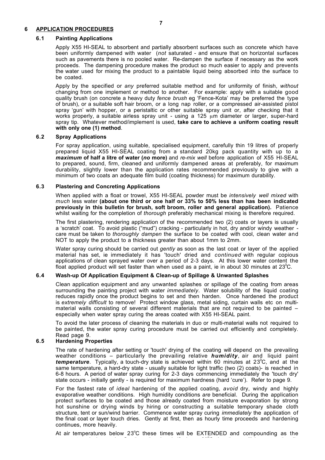#### **6 APPLICATION PROCEDURES**

#### **6.1 Painting Applications**

Apply X55 HI-SEAL to absorbent and partially absorbent surfaces such as concrete which have been uniformly dampened with water (*not* saturated - and ensure that on horizontal surfaces such as pavements there is no pooled water. Re-dampen the surface if necessary as the work proceeds. The dampening procedure makes the product so much easier to apply and prevents the water used for mixing the product to a paintable liquid being absorbed into the surface to be coated.

Apply by the specified or *any* preferred suitable method and for uniformity of finish, *without* changing from one implement or method to another. For example: apply with a suitable good quality brush (on concrete a heavy duty *fence brush* eg 'Fence-Kota' may be preferred the type of brush), or a suitable soft hair broom, or a long nap roller, or a compressed air-assisted pistol spray 'gun' with hopper, or a peristaltic or other suitable spray unit or, after checking that it works properly, a suitable airless spray unit - using a 125 um diameter or larger, super-hard spray tip. Whatever method/implement is used, **take care to achieve a uniform coating result with only one (1) method**.

#### **6.2 Spray Applications**

For spray application, using suitable, specialised equipment, carefully thin 19 litres of properly prepared liquid X55 HI-SEAL coating from a standard 20kg pack quantity with up to a *maximum* **of half a litre of water (***no* **more)** and *re-mix well* before application of X55 HI-SEAL to prepared, sound, firm, cleaned and uniformly dampened areas at preferably, for maximum durability, slightly lower than the application rates recommended previously to give with a minimum of two coats an adequate film build (coating thickness) for maximum durability.

#### **6.3 Plastering and Concreting Applications**

When applied with a float or trowel, X55 HI-SEAL powder must be *intensively well mixed* with *much* less water **(about one third or one half or 33% to 50% less than has been indicated previously in this bulletin for brush, soft broom, roller and general application).** Patience whilst waiting for the completion of *thorough* preferably mechanical mixing is therefore required.

The first plastering, rendering application of the recommended two (2) coats or layers is usually a 'scratch' coat. To avoid plastic ("mud") cracking - particularly in hot, dry and/or windy weather care must be taken to *thoroughly dampen* the surface to be coated with cool, clean water and NOT to apply the product to a thickness greater than about 1mm to 2mm.

Water spray curing should be carried out *gently* as soon as the last coat or layer of the applied material has set, ie immediately it has 'touch' dried and *continued* with regular copious applications of clean sprayed water over a period of 2-3 days. At this lower water content the float applied product will set faster than when used as a paint, ie in about 30 minutes at 23<sup>°</sup>C.

#### **6.4 Wash-up Of Application Equipment & Clean-up of Spillage & Unwanted Splashes**

Clean application equipment and any unwanted splashes or spillage of the coating from areas surrounding the painting project with water *immediately*. Water solubility of the liquid coating reduces rapidly once the product begins to set and then harden. Once hardened the product is *extremely difficult* to remove! Protect window glass, metal siding, curtain walls etc on multimaterial walls consisting of several different materials that are not required to be painted – especially when water spray curing the areas coated with X55 HI-SEAL paint.

To avoid the later process of cleaning the materials in duo or multi-material walls not required to be painted, the water spray curing procedure must be carried out efficiently and completely. Read page 9.

#### **6.5 Hardening Properties**

The rate of hardening after setting or 'touch' drying of the coating will depend on the prevailing weather conditions – particularly the prevailing relative *humidity*, air and liquid paint temperature. Typically, a touch-dry state is achieved within 60 minutes at 23<sup>°</sup>C, and at the same temperature, a hard-dry state - usually suitable for light traffic (two (2) coats)- is reached in 6-8 hours. A period of water spray curing for 2-3 days commencing immediately the 'touch dry' state occurs - initially gently - is required for maximum hardness (hard 'cure'). Refer to page 9.

For the fastest rate of *ideal* hardening of the applied coating, *avoid* dry, windy and highly evaporative weather conditions. High humidity conditions *are* beneficial. During the application protect surfaces to be coated and those already coated from moisture evaporation by strong hot sunshine or drying winds by hiring or constructing a suitable temporary shade cloth structure, tent or sun/wind barrier. Commence water spray curing *immediately* the application of the final coat or layer touch dries. Gently at first, then as hourly time proceeds and hardening continues, more heavily.

At air temperatures below 23°C these times will be EXTENDED and compounding as the temperature is lowered. On the other hand, if above 23<sup>o</sup> C the times will be proportionally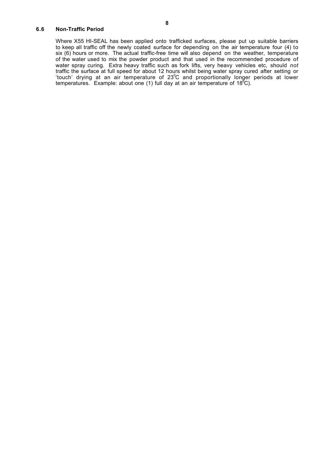#### **6.6 Non-Traffic Period**

Where X55 HI-SEAL has been applied onto trafficked surfaces, please put up suitable barriers to keep all traffic off the newly coated surface for depending on the air temperature four (4) to six (6) hours or more. The actual traffic-free time will also depend on the weather, temperature of the water used to mix the powder product and that used in the recommended procedure of water spray curing. Extra heavy traffic such as fork lifts, very heavy vehicles etc, should *not* traffic the surface at full speed for about 12 hours whilst being water spray cured after setting or 'touch' drying at an air temperature of  $23^{\circ}$ C and proportionally longer periods at lower temperatures. Example: about one (1) full day at an air temperature of 18<sup>0</sup>C).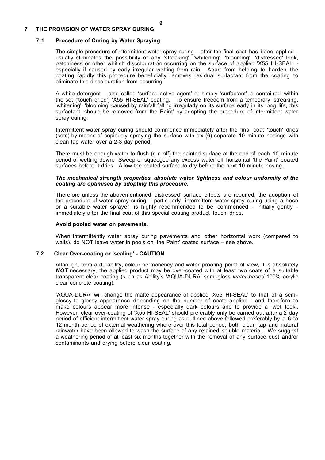#### **7 THE PROVISION OF WATER SPRAY CURING**

#### **7.1 Procedure of Curing by Water Spraying**

The simple procedure of intermittent water spray curing – after the final coat has been applied usually eliminates the possibility of any 'streaking', 'whitening', 'blooming', 'distressed' look, patchiness or other whitish discolouration occurring on the surface of applied 'X55 HI-SEAL' especially if caused by early irregular wetting from rain. Apart from helping to harden the coating rapidly this procedure beneficially removes residual surfactant from the coating to eliminate this discolouration from occurring.

A white detergent – also called 'surface active agent' or simply 'surfactant' is contained within the set ('touch dried') 'X55 HI-SEAL' coating. To ensure freedom from a temporary 'streaking, 'whitening', 'blooming' caused by rainfall falling irregularly on its surface early in its long life, this surfactant should be removed from 'the Paint' by adopting the procedure of intermittent water spray curing.

Intermittent water spray curing should commence immediately after the final coat 'touch' dries (sets) by means of copiously spraying the surface with six  $(6)$  separate 10 minute hosings with clean tap water over a 2-3 day period.

There must be enough water to flush (run off) the painted surface at the end of each 10 minute period of wetting down. Sweep or squeegee any excess water off horizontal 'the Paint' coated surfaces before it dries. Allow the coated surface to dry before the next 10 minute hosing.

#### *The mechanical strength properties, absolute water tightness and colour uniformity of the coating are optimised by adopting this procedure.*

Therefore unless the abovementioned 'distressed' surface effects are required, the adoption of the procedure of water spray curing – particularly intermittent water spray curing using a hose or a suitable water sprayer, is highly recommended to be commenced - initially gently immediately after the final coat of this special coating product 'touch' dries.

#### **Avoid pooled water on pavements.**

When intermittently water spray curing pavements and other horizontal work (compared to walls), do NOT leave water in pools on 'the Paint' coated surface – see above.

#### **7.2 Clear Over-coating or 'sealing' - CAUTION**

Although, from a durability, colour permanency and water proofing point of view, it is absolutely **NOT** necessary, the applied product may be over-coated with at least two coats of a suitable transparent clear coating (such as Ability's 'AQUA-DURA' semi-gloss *water*-*based* 100% acrylic clear concrete coating).

'AQUA-DURA' will change the matte appearance of applied 'X55 HI-SEAL' to that of a semiglossy to glossy appearance depending on the number of coats applied - and therefore to make colours appear more intense - especially dark colours and to provide a 'wet look'. However, clear over-coating of 'X55 HI-SEAL' should preferably only be carried out *after* a 2 day period of efficient intermittent water spray curing as outlined above followed preferably by a 6 to 12 month period of external weathering where over this total period, both clean tap and natural rainwater have been allowed to wash the surface of any retained soluble material. We suggest a weathering period of at least six months together with the removal of any surface dust and/or contaminants and drying before clear coating.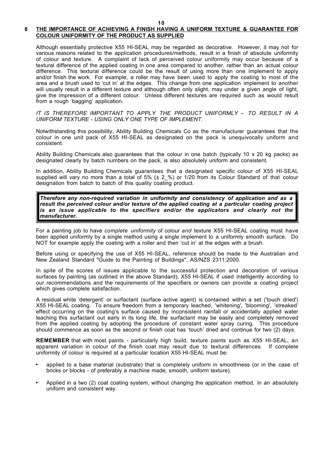**10**

#### **8 THE IMPORTANCE OF ACHIEVING A FINISH HAVING A UNIFORM TEXTURE & GUARANTEE FOR COLOUR UNIFORMITY OF THE PRODUCT AS SUPPLIED**

Although essentially protective X55 HI-SEAL may be regarded as decorative. However, it may not for various reasons related to the application procedures/methods, result in a finish of absolute uniformity of colour and texture. A complaint of lack of perceived colour uniformity may occur because of a textural difference of the applied coating in one area compared to another, rather than an actual colour difference. This textural difference could be the result of using more than one implement to apply and/or finish the work. For example, a roller may have been used to apply the coating to most of the area and a brush used to 'cut in' at the edges. This change from one application implement to another will usually result in a different texture and although often only slight, may under a given angle of light, give the impression of a different colour. Unless different textures are required such as would result from a rough 'bagging' application.

*IT IS THEREFORE IMPORTANT TO APPLY THE PRODUCT UNIFORMLY – TO RESULT IN A UNIFORM TEXTURE - USING ONLY ONE TYPE OF IMPLEMENT.*

Notwithstanding this possibility, Ability Building Chemicals Co as the manufacturer guarantees that the colour in one unit pack of X55 HI-SEAL as designated on the pack is unequivocally uniform and consistent.

Ability Building Chemicals also guarantees that the colour in one batch (typically 10 x 20 kg packs) as designated clearly by batch numbers on the pack, is also absolutely uniform and consistent.

In addition, Ability Building Chemicals guarantees that a designated specific colour of X55 HI-SEAL supplied will vary no more than a total of 5% (± 2\_%) or 1/20 from its Colour Standard of that colour designation from batch to batch of this quality coating product.

*Therefore any non-required variation in uniformity and consistency of application and as a result the perceived colour and/or texture of the applied coating at a particular coating project is an issue applicable to the specifiers and/or the applicators and clearly not the manufacturer.*

For a painting job to have *complete uniformity* of colour *and* texture X55 HI-SEAL coating must have been applied uniformly by a single method using a single implement to a uniformly smooth surface. Do NOT for example apply the coating with a roller and then 'cut in' at the edges with a brush.

Before using or specifying the use of X55 HI-SEAL, reference should be made to the Australian and New Zealand Standard "Guide to the Painting of Buildings", AS/NZS 2311:2000.

In spite of the scores of issues applicable to the successful protection and decoration of various surfaces by painting (as outlined in the above Standard), X55 HI-SEAL if used intelligently according to our recommendations and the requirements of the specifiers or owners can provide a coating project which gives complete satisfaction.

A residual white 'detergent' or surfactant (surface active agent) is contained within a set ('touch dried') X55 HI-SEAL coating. To ensure freedom from a temporary leached, 'whitening', 'blooming', 'streaked' effect occurring on the coating's surface caused by inconsistent rainfall or accidentally applied water leaching this surfactant out early in its long life, the surfactant may be easily and completely removed from the applied coating by adopting the procedure of constant water spray curing. This procedure should commence as soon as the second or finish coat has 'touch' dried and continue for two (2) days.

**REMEMBER** that with most paints - particularly high build, texture paints such as X55 HI-SEAL, an apparent variation in colour of the finish coat may result due to textural differences. If complete uniformity of colour is required at a particular location X55 HI-SEAL must be:

- applied to a base material (substrate) that is completely uniform in smoothness (or in the case of bricks or blocks - of preferably a machine made, smooth, uniform texture).
- Applied in a two (2) coat coating system, without changing the application method, in an absolutely uniform and consistent way.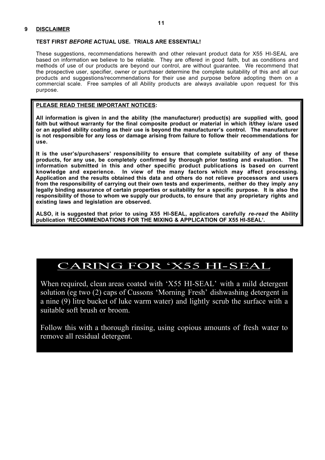#### **TEST FIRST** *BEFORE* **ACTUAL USE. TRIALS ARE ESSENTIAL!**

These suggestions, recommendations herewith and other relevant product data for X55 HI-SEAL are based on information we believe to be reliable. They are offered in good faith, but as conditions and methods of use of our products are beyond our control, are without guarantee. We recommend that the prospective user, specifier, owner or purchaser determine the complete suitability of this and all our products and suggestions/recommendations for their use and purpose before adopting them on a commercial scale. Free samples of all Ability products are always available upon request for this purpose.

#### **PLEASE READ THESE IMPORTANT NOTICES:**

**All information is given in and the ability (the manufacturer) product(s) are supplied with, good faith but without warranty for the final composite product or material in which it/they is/are used or an applied ability coating as their use is beyond the manufacturer's control. The manufacturer is not responsible for any loss or damage arising from failure to follow their recommendations for use.**

**It is the user's/purchasers' responsibility to ensure that complete suitability of any of these products, for any use, be completely confirmed by thorough prior testing and evaluation. The information submitted in this and other specific product publications is based on current knowledge and experience. In view of the many factors which may affect processing. Application and the results obtained this data and others do not relieve processors and users from the responsibility of carrying out their own tests and experiments, neither do they imply any legally binding assurance of certain properties or suitability for a specific purpose. It is also the responsibility of those to whom we supply our products, to ensure that any proprietary rights and existing laws and legislation are observed.**

**ALSO, it is suggested that prior to using X55 HI-SEAL, applicators carefully** *re-read* **the Ability publication 'RECOMMENDATIONS FOR THE MIXING & APPLICATION OF X55 HI-SEAL'.**

## **CARING FOR 'X55 HI-SEAL**

When required, clean areas coated with 'X55 HI-SEAL' with a mild detergent solution (eg two (2) caps of Cussons 'Morning Fresh' dishwashing detergent in a nine (9) litre bucket of luke warm water) and lightly scrub the surface with a suitable soft brush or broom.

Follow this with a thorough rinsing, using copious amounts of fresh water to remove all residual detergent.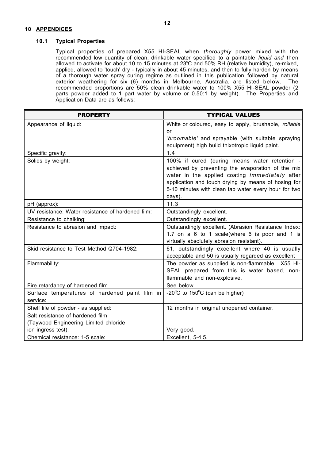#### **10 APPENDICES**

#### **10.1 Typical Properties**

Typical properties of prepared X55 HI-SEAL when *thoroughly* power mixed with the recommended low quantity of clean, drinkable water specified to a paintable *liquid and* then allowed to activate for about 10 to 15 minutes at 23°C and 50% RH (relative humidity), re-mixed, applied, allowed to 'touch' dry - typically in about 45 minutes, and then to fully harden by means of a thorough water spray curing regime as outlined in this publication followed by natural exterior weathering for six (6) months in Melbourne, Australia, are listed below*.* The recommended proportions are 50% clean drinkable water to 100% X55 HI-SEAL powder (2 parts powder added to 1 part water by volume or 0.50:1 by weight). The Properties and Application Data are as follows:

| <b>PROPERTY</b>                                   | <b>TYPICAL VALUES</b>                                                |
|---------------------------------------------------|----------------------------------------------------------------------|
| Appearance of liquid:                             | White or coloured, easy to apply, brushable, rollable                |
|                                                   | or                                                                   |
|                                                   | 'broomable' and sprayable (with suitable spraying                    |
|                                                   | equipment) high build thixotropic liquid paint.                      |
| Specific gravity:                                 | 1.4                                                                  |
| Solids by weight:                                 | 100% if cured (curing means water retention -                        |
|                                                   | achieved by preventing the evaporation of the mix                    |
|                                                   | water in the applied coating <i>immediately</i> after                |
|                                                   | application and touch drying by means of hosing for                  |
|                                                   | 5-10 minutes with clean tap water every hour for two                 |
|                                                   | days).                                                               |
| pH (approx):                                      | 11.3                                                                 |
| UV resistance: Water resistance of hardened film: | Outstandingly excellent.                                             |
| Resistance to chalking:                           | Outstandingly excellent.                                             |
| Resistance to abrasion and impact:                | Outstandingly excellent. (Abrasion Resistance Index:                 |
|                                                   | 1.7 on a 6 to 1 scale(where 6 is poor and 1 is                       |
|                                                   | virtually absolutely abrasion resistant).                            |
| Skid resistance to Test Method Q704-1982:         | 61, outstandingly excellent where 40 is usually                      |
|                                                   | acceptable and 50 is usually regarded as excellent                   |
| Flammability:                                     | The powder as supplied is non-flammable. X55 HI-                     |
|                                                   | SEAL prepared from this is water based, non-                         |
|                                                   | flammable and non-explosive.                                         |
| Fire retardancy of hardened film                  | See below                                                            |
| Surface temperatures of hardened paint film in    | -20 $\mathrm{^{\circ}C}$ to 150 $\mathrm{^{\circ}C}$ (can be higher) |
| service:                                          |                                                                      |
| Shelf life of powder - as supplied:               | 12 months in original unopened container.                            |
| Salt resistance of hardened film                  |                                                                      |
| (Taywood Engineering Limited chloride             |                                                                      |
| ion ingress test):                                | Very good.                                                           |
| Chemical resistance: 1-5 scale:                   | Excellent, 5-4.5.                                                    |